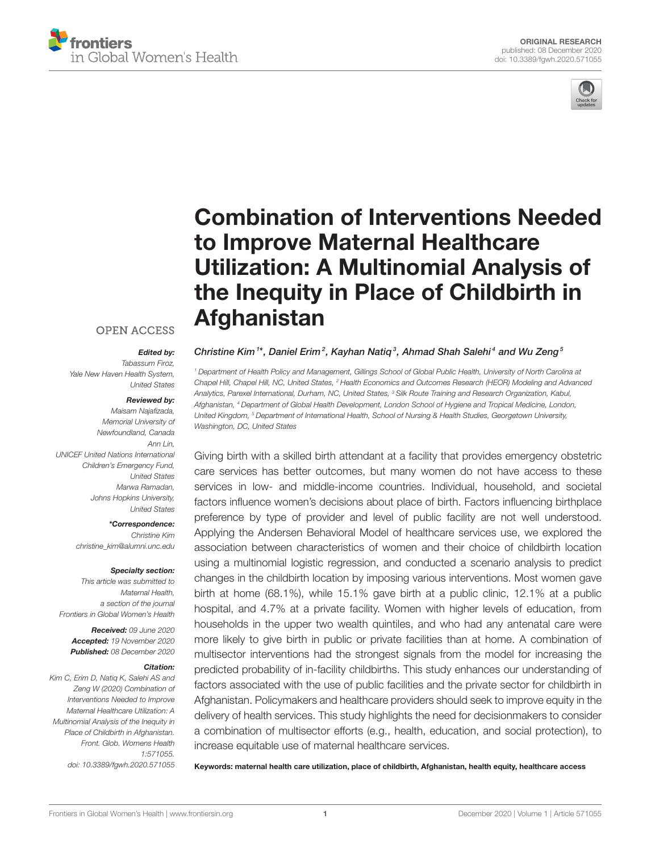



# Combination of Interventions Needed to Improve Maternal Healthcare [Utilization: A Multinomial Analysis of](https://www.frontiersin.org/articles/10.3389/fgwh.2020.571055/full) the Inequity in Place of Childbirth in Afghanistan

#### **OPEN ACCESS**

#### Edited by:

*Tabassum Firoz, Yale New Haven Health System, United States*

#### Reviewed by:

*Maisam Najafizada, Memorial University of Newfoundland, Canada Ann Lin, UNICEF United Nations International Children's Emergency Fund, United States Marwa Ramadan, Johns Hopkins University, United States*

\*Correspondence:

*Christine Kim [christine\\_kim@alumni.unc.edu](mailto:christine_kim@alumni.unc.edu)*

#### Specialty section:

*This article was submitted to Maternal Health, a section of the journal Frontiers in Global Women's Health*

Received: *09 June 2020* Accepted: *19 November 2020* Published: *08 December 2020*

#### Citation:

*Kim C, Erim D, Natiq K, Salehi AS and Zeng W (2020) Combination of Interventions Needed to Improve Maternal Healthcare Utilization: A Multinomial Analysis of the Inequity in Place of Childbirth in Afghanistan. Front. Glob. Womens Health 1:571055. doi: [10.3389/fgwh.2020.571055](https://doi.org/10.3389/fgwh.2020.571055)* Christine Kim<sup>1\*</sup>, Daniel Erim<sup>2</sup>, Kayhan Natiq<sup>3</sup>, Ahmad Shah Salehi<sup>4</sup> and Wu Zeng<sup>5</sup>

*<sup>1</sup> Department of Health Policy and Management, Gillings School of Global Public Health, University of North Carolina at Chapel Hill, Chapel Hill, NC, United States, <sup>2</sup> Health Economics and Outcomes Research (HEOR) Modeling and Advanced Analytics, Parexel International, Durham, NC, United States, <sup>3</sup> Silk Route Training and Research Organization, Kabul, Afghanistan, <sup>4</sup> Department of Global Health Development, London School of Hygiene and Tropical Medicine, London, United Kingdom, <sup>5</sup> Department of International Health, School of Nursing & Health Studies, Georgetown University, Washington, DC, United States*

Giving birth with a skilled birth attendant at a facility that provides emergency obstetric care services has better outcomes, but many women do not have access to these services in low- and middle-income countries. Individual, household, and societal factors influence women's decisions about place of birth. Factors influencing birthplace preference by type of provider and level of public facility are not well understood. Applying the Andersen Behavioral Model of healthcare services use, we explored the association between characteristics of women and their choice of childbirth location using a multinomial logistic regression, and conducted a scenario analysis to predict changes in the childbirth location by imposing various interventions. Most women gave birth at home (68.1%), while 15.1% gave birth at a public clinic, 12.1% at a public hospital, and 4.7% at a private facility. Women with higher levels of education, from households in the upper two wealth quintiles, and who had any antenatal care were more likely to give birth in public or private facilities than at home. A combination of multisector interventions had the strongest signals from the model for increasing the predicted probability of in-facility childbirths. This study enhances our understanding of factors associated with the use of public facilities and the private sector for childbirth in Afghanistan. Policymakers and healthcare providers should seek to improve equity in the delivery of health services. This study highlights the need for decisionmakers to consider a combination of multisector efforts (e.g., health, education, and social protection), to increase equitable use of maternal healthcare services.

Keywords: maternal health care utilization, place of childbirth, Afghanistan, health equity, healthcare access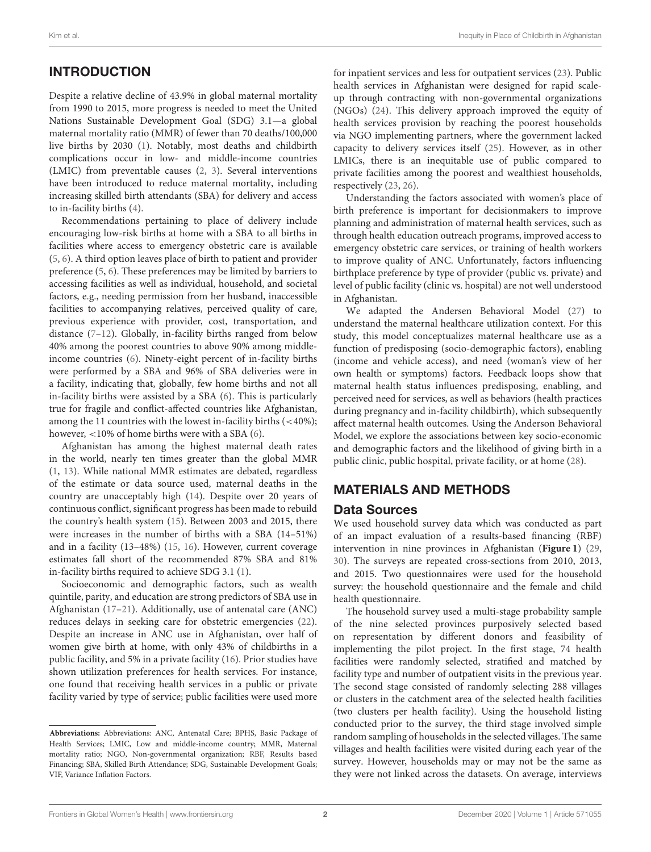# INTRODUCTION

Despite a relative decline of 43.9% in global maternal mortality from 1990 to 2015, more progress is needed to meet the United Nations Sustainable Development Goal (SDG) 3.1—a global maternal mortality ratio (MMR) of fewer than 70 deaths/100,000 live births by 2030 [\(1\)](#page-10-0). Notably, most deaths and childbirth complications occur in low- and middle-income countries (LMIC) from preventable causes [\(2,](#page-10-1) [3\)](#page-10-2). Several interventions have been introduced to reduce maternal mortality, including increasing skilled birth attendants (SBA) for delivery and access to in-facility births [\(4\)](#page-10-3).

Recommendations pertaining to place of delivery include encouraging low-risk births at home with a SBA to all births in facilities where access to emergency obstetric care is available [\(5,](#page-10-4) [6\)](#page-10-5). A third option leaves place of birth to patient and provider preference [\(5,](#page-10-4) [6\)](#page-10-5). These preferences may be limited by barriers to accessing facilities as well as individual, household, and societal factors, e.g., needing permission from her husband, inaccessible facilities to accompanying relatives, perceived quality of care, previous experience with provider, cost, transportation, and distance [\(7–](#page-10-6)[12\)](#page-10-7). Globally, in-facility births ranged from below 40% among the poorest countries to above 90% among middleincome countries [\(6\)](#page-10-5). Ninety-eight percent of in-facility births were performed by a SBA and 96% of SBA deliveries were in a facility, indicating that, globally, few home births and not all in-facility births were assisted by a SBA [\(6\)](#page-10-5). This is particularly true for fragile and conflict-affected countries like Afghanistan, among the 11 countries with the lowest in-facility births (<40%); however, <10% of home births were with a SBA [\(6\)](#page-10-5).

Afghanistan has among the highest maternal death rates in the world, nearly ten times greater than the global MMR [\(1,](#page-10-0) [13\)](#page-10-8). While national MMR estimates are debated, regardless of the estimate or data source used, maternal deaths in the country are unacceptably high [\(14\)](#page-10-9). Despite over 20 years of continuous conflict, significant progress has been made to rebuild the country's health system [\(15\)](#page-10-10). Between 2003 and 2015, there were increases in the number of births with a SBA (14–51%) and in a facility (13–48%) [\(15,](#page-10-10) [16\)](#page-10-11). However, current coverage estimates fall short of the recommended 87% SBA and 81% in-facility births required to achieve SDG 3.1 [\(1\)](#page-10-0).

Socioeconomic and demographic factors, such as wealth quintile, parity, and education are strong predictors of SBA use in Afghanistan [\(17](#page-10-12)[–21\)](#page-10-13). Additionally, use of antenatal care (ANC) reduces delays in seeking care for obstetric emergencies [\(22\)](#page-10-14). Despite an increase in ANC use in Afghanistan, over half of women give birth at home, with only 43% of childbirths in a public facility, and 5% in a private facility [\(16\)](#page-10-11). Prior studies have shown utilization preferences for health services. For instance, one found that receiving health services in a public or private facility varied by type of service; public facilities were used more for inpatient services and less for outpatient services [\(23\)](#page-10-15). Public health services in Afghanistan were designed for rapid scaleup through contracting with non-governmental organizations (NGOs) [\(24\)](#page-10-16). This delivery approach improved the equity of health services provision by reaching the poorest households via NGO implementing partners, where the government lacked capacity to delivery services itself [\(25\)](#page-10-17). However, as in other LMICs, there is an inequitable use of public compared to private facilities among the poorest and wealthiest households, respectively [\(23,](#page-10-15) [26\)](#page-10-18).

Understanding the factors associated with women's place of birth preference is important for decisionmakers to improve planning and administration of maternal health services, such as through health education outreach programs, improved access to emergency obstetric care services, or training of health workers to improve quality of ANC. Unfortunately, factors influencing birthplace preference by type of provider (public vs. private) and level of public facility (clinic vs. hospital) are not well understood in Afghanistan.

We adapted the Andersen Behavioral Model [\(27\)](#page-10-19) to understand the maternal healthcare utilization context. For this study, this model conceptualizes maternal healthcare use as a function of predisposing (socio-demographic factors), enabling (income and vehicle access), and need (woman's view of her own health or symptoms) factors. Feedback loops show that maternal health status influences predisposing, enabling, and perceived need for services, as well as behaviors (health practices during pregnancy and in-facility childbirth), which subsequently affect maternal health outcomes. Using the Anderson Behavioral Model, we explore the associations between key socio-economic and demographic factors and the likelihood of giving birth in a public clinic, public hospital, private facility, or at home [\(28\)](#page-10-20).

### MATERIALS AND METHODS

#### Data Sources

We used household survey data which was conducted as part of an impact evaluation of a results-based financing (RBF) intervention in nine provinces in Afghanistan (**[Figure 1](#page-2-0)**) [\(29,](#page-10-21) [30\)](#page-10-22). The surveys are repeated cross-sections from 2010, 2013, and 2015. Two questionnaires were used for the household survey: the household questionnaire and the female and child health questionnaire.

The household survey used a multi-stage probability sample of the nine selected provinces purposively selected based on representation by different donors and feasibility of implementing the pilot project. In the first stage, 74 health facilities were randomly selected, stratified and matched by facility type and number of outpatient visits in the previous year. The second stage consisted of randomly selecting 288 villages or clusters in the catchment area of the selected health facilities (two clusters per health facility). Using the household listing conducted prior to the survey, the third stage involved simple random sampling of households in the selected villages. The same villages and health facilities were visited during each year of the survey. However, households may or may not be the same as they were not linked across the datasets. On average, interviews

**Abbreviations:** Abbreviations: ANC, Antenatal Care; BPHS, Basic Package of Health Services; LMIC, Low and middle-income country; MMR, Maternal mortality ratio; NGO, Non-governmental organization; RBF, Results based Financing; SBA, Skilled Birth Attendance; SDG, Sustainable Development Goals; VIF, Variance Inflation Factors.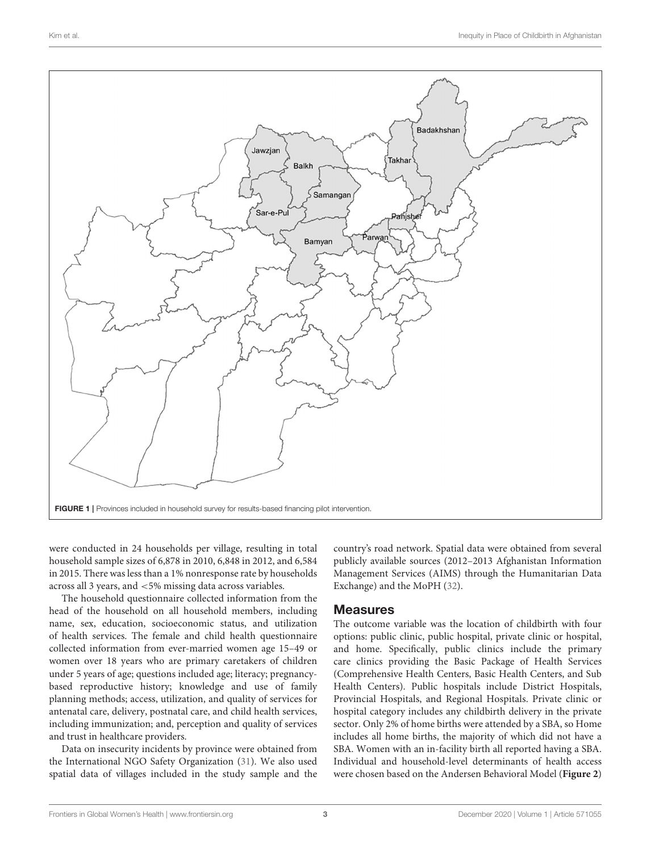

<span id="page-2-0"></span>were conducted in 24 households per village, resulting in total household sample sizes of 6,878 in 2010, 6,848 in 2012, and 6,584 in 2015. There was less than a 1% nonresponse rate by households across all 3 years, and <5% missing data across variables.

The household questionnaire collected information from the head of the household on all household members, including name, sex, education, socioeconomic status, and utilization of health services. The female and child health questionnaire collected information from ever-married women age 15–49 or women over 18 years who are primary caretakers of children under 5 years of age; questions included age; literacy; pregnancybased reproductive history; knowledge and use of family planning methods; access, utilization, and quality of services for antenatal care, delivery, postnatal care, and child health services, including immunization; and, perception and quality of services and trust in healthcare providers.

Data on insecurity incidents by province were obtained from the International NGO Safety Organization [\(31\)](#page-10-23). We also used spatial data of villages included in the study sample and the country's road network. Spatial data were obtained from several publicly available sources (2012–2013 Afghanistan Information Management Services (AIMS) through the Humanitarian Data Exchange) and the MoPH [\(32\)](#page-10-24).

#### **Measures**

The outcome variable was the location of childbirth with four options: public clinic, public hospital, private clinic or hospital, and home. Specifically, public clinics include the primary care clinics providing the Basic Package of Health Services (Comprehensive Health Centers, Basic Health Centers, and Sub Health Centers). Public hospitals include District Hospitals, Provincial Hospitals, and Regional Hospitals. Private clinic or hospital category includes any childbirth delivery in the private sector. Only 2% of home births were attended by a SBA, so Home includes all home births, the majority of which did not have a SBA. Women with an in-facility birth all reported having a SBA. Individual and household-level determinants of health access were chosen based on the Andersen Behavioral Model (**[Figure 2](#page-3-0)**)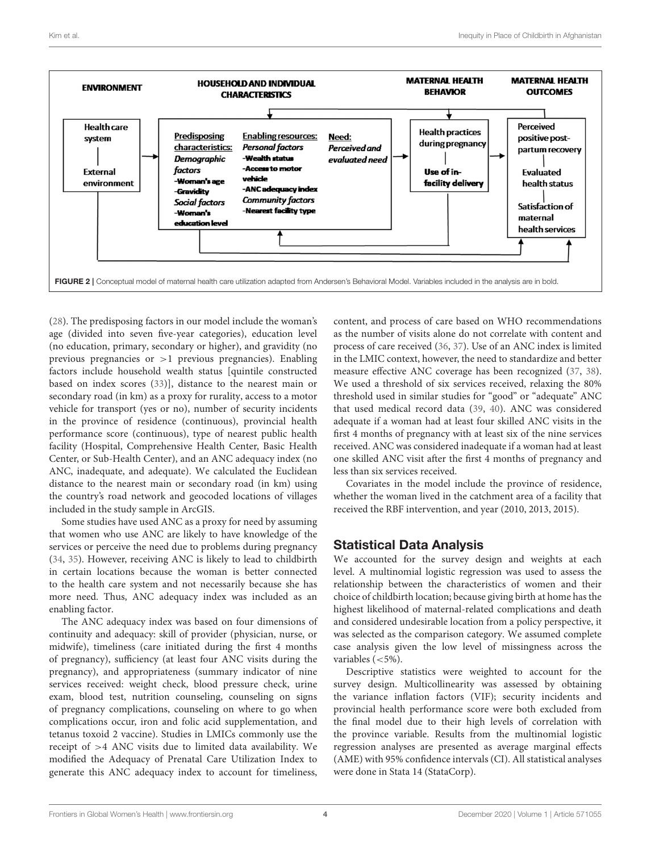

<span id="page-3-0"></span>[\(28\)](#page-10-20). The predisposing factors in our model include the woman's age (divided into seven five-year categories), education level (no education, primary, secondary or higher), and gravidity (no previous pregnancies or  $>1$  previous pregnancies). Enabling factors include household wealth status [quintile constructed based on index scores [\(33\)](#page-10-25)], distance to the nearest main or secondary road (in km) as a proxy for rurality, access to a motor vehicle for transport (yes or no), number of security incidents in the province of residence (continuous), provincial health performance score (continuous), type of nearest public health facility (Hospital, Comprehensive Health Center, Basic Health Center, or Sub-Health Center), and an ANC adequacy index (no ANC, inadequate, and adequate). We calculated the Euclidean distance to the nearest main or secondary road (in km) using the country's road network and geocoded locations of villages included in the study sample in ArcGIS.

Some studies have used ANC as a proxy for need by assuming that women who use ANC are likely to have knowledge of the services or perceive the need due to problems during pregnancy [\(34,](#page-10-26) [35\)](#page-10-27). However, receiving ANC is likely to lead to childbirth in certain locations because the woman is better connected to the health care system and not necessarily because she has more need. Thus, ANC adequacy index was included as an enabling factor.

The ANC adequacy index was based on four dimensions of continuity and adequacy: skill of provider (physician, nurse, or midwife), timeliness (care initiated during the first 4 months of pregnancy), sufficiency (at least four ANC visits during the pregnancy), and appropriateness (summary indicator of nine services received: weight check, blood pressure check, urine exam, blood test, nutrition counseling, counseling on signs of pregnancy complications, counseling on where to go when complications occur, iron and folic acid supplementation, and tetanus toxoid 2 vaccine). Studies in LMICs commonly use the receipt of >4 ANC visits due to limited data availability. We modified the Adequacy of Prenatal Care Utilization Index to generate this ANC adequacy index to account for timeliness,

content, and process of care based on WHO recommendations as the number of visits alone do not correlate with content and process of care received [\(36,](#page-10-28) [37\)](#page-10-29). Use of an ANC index is limited in the LMIC context, however, the need to standardize and better measure effective ANC coverage has been recognized [\(37,](#page-10-29) [38\)](#page-10-30). We used a threshold of six services received, relaxing the 80% threshold used in similar studies for "good" or "adequate" ANC that used medical record data [\(39,](#page-11-0) [40\)](#page-11-1). ANC was considered adequate if a woman had at least four skilled ANC visits in the first 4 months of pregnancy with at least six of the nine services received. ANC was considered inadequate if a woman had at least one skilled ANC visit after the first 4 months of pregnancy and less than six services received.

Covariates in the model include the province of residence, whether the woman lived in the catchment area of a facility that received the RBF intervention, and year (2010, 2013, 2015).

#### Statistical Data Analysis

We accounted for the survey design and weights at each level. A multinomial logistic regression was used to assess the relationship between the characteristics of women and their choice of childbirth location; because giving birth at home has the highest likelihood of maternal-related complications and death and considered undesirable location from a policy perspective, it was selected as the comparison category. We assumed complete case analysis given the low level of missingness across the variables (<5%).

Descriptive statistics were weighted to account for the survey design. Multicollinearity was assessed by obtaining the variance inflation factors (VIF); security incidents and provincial health performance score were both excluded from the final model due to their high levels of correlation with the province variable. Results from the multinomial logistic regression analyses are presented as average marginal effects (AME) with 95% confidence intervals (CI). All statistical analyses were done in Stata 14 (StataCorp).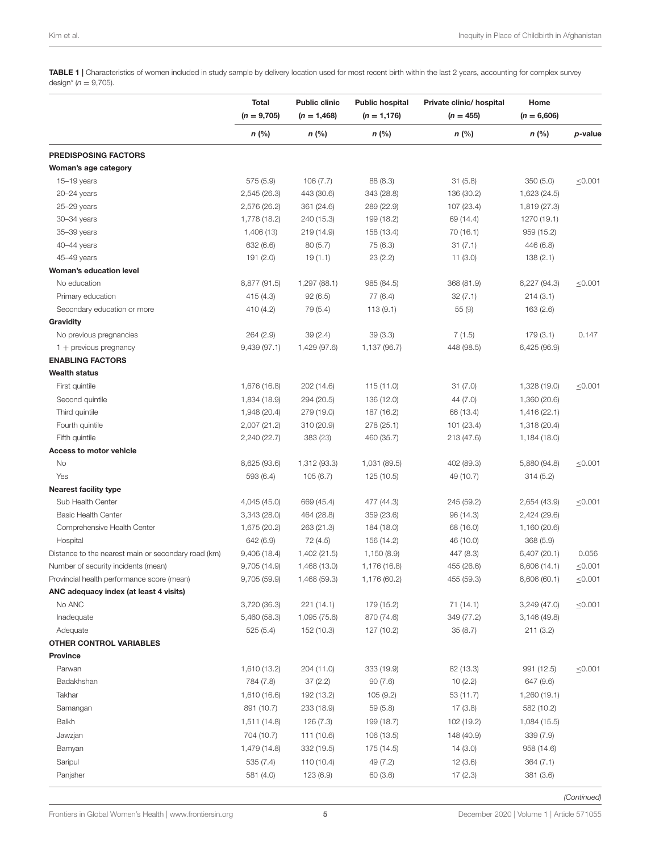<span id="page-4-0"></span>TABLE 1 | Characteristics of women included in study sample by delivery location used for most recent birth within the last 2 years, accounting for complex survey design<sup>\*</sup>  $(n = 9,705)$ .

|                                                     | <b>Total</b>  | <b>Public clinic</b> | <b>Public hospital</b> | Private clinic/ hospital | Home          |              |
|-----------------------------------------------------|---------------|----------------------|------------------------|--------------------------|---------------|--------------|
|                                                     | $(n = 9,705)$ | $(n = 1,468)$        | $(n = 1, 176)$         | $(n = 455)$              | $(n = 6,606)$ |              |
|                                                     | $n$ (%)       | $n$ (%)              | $n$ (%)                | n (%)                    | n (%)         | p-value      |
| <b>PREDISPOSING FACTORS</b>                         |               |                      |                        |                          |               |              |
| Woman's age category                                |               |                      |                        |                          |               |              |
| 15-19 years                                         | 575 (5.9)     | 106(7.7)             | 88 (8.3)               | 31(5.8)                  | 350 (5.0)     | $\leq 0.001$ |
| 20-24 years                                         | 2,545 (26.3)  | 443 (30.6)           | 343 (28.8)             | 136 (30.2)               | 1,623 (24.5)  |              |
| 25-29 years                                         | 2,576 (26.2)  | 361 (24.6)           | 289 (22.9)             | 107 (23.4)               | 1,819 (27.3)  |              |
| 30-34 years                                         | 1,778 (18.2)  | 240 (15.3)           | 199 (18.2)             | 69 (14.4)                | 1270 (19.1)   |              |
| 35-39 years                                         | 1,406 (13)    | 219 (14.9)           | 158 (13.4)             | 70 (16.1)                | 959 (15.2)    |              |
| 40-44 years                                         | 632 (6.6)     | 80(5.7)              | 75 (6.3)               | 31(7.1)                  | 446 (6.8)     |              |
| 45-49 years                                         | 191 (2.0)     | 19(1.1)              | 23(2.2)                | 11(3.0)                  | 138(2.1)      |              |
| Woman's education level                             |               |                      |                        |                          |               |              |
| No education                                        | 8,877 (91.5)  | 1,297 (88.1)         | 985 (84.5)             | 368 (81.9)               | 6,227 (94.3)  | $≤$ 0.001    |
| Primary education                                   | 415 (4.3)     | 92(6.5)              | 77 (6.4)               | 32(7.1)                  | 214(3.1)      |              |
| Secondary education or more                         | 410 (4.2)     | 79 (5.4)             | 113 (9.1)              | 55 (9)                   | 163 (2.6)     |              |
| Gravidity                                           |               |                      |                        |                          |               |              |
| No previous pregnancies                             | 264 (2.9)     | 39(2.4)              | 39(3.3)                | 7(1.5)                   | 179 (3.1)     | 0.147        |
| $1 +$ previous pregnancy                            | 9,439(97.1)   | 1,429 (97.6)         | 1,137 (96.7)           | 448 (98.5)               | 6,425 (96.9)  |              |
| <b>ENABLING FACTORS</b>                             |               |                      |                        |                          |               |              |
| <b>Wealth status</b>                                |               |                      |                        |                          |               |              |
| First quintile                                      | 1,676 (16.8)  | 202 (14.6)           | 115 (11.0)             | 31(7.0)                  | 1,328 (19.0)  | $≤$ 0.001    |
| Second quintile                                     | 1,834 (18.9)  | 294 (20.5)           | 136 (12.0)             | 44(7.0)                  | 1,360 (20.6)  |              |
| Third quintile                                      | 1,948 (20.4)  | 279 (19.0)           | 187 (16.2)             | 66 (13.4)                | 1,416 (22.1)  |              |
| Fourth quintile                                     | 2,007 (21.2)  | 310 (20.9)           | 278 (25.1)             | 101 (23.4)               | 1,318 (20.4)  |              |
| Fifth quintile                                      | 2,240 (22.7)  | 383 (23)             | 460 (35.7)             | 213 (47.6)               | 1,184 (18.0)  |              |
| <b>Access to motor vehicle</b>                      |               |                      |                        |                          |               |              |
| No                                                  | 8,625 (93.6)  | 1,312 (93.3)         | 1,031 (89.5)           | 402 (89.3)               | 5,880 (94.8)  | $\leq 0.001$ |
| Yes                                                 | 593 (6.4)     | 105(6.7)             | 125 (10.5)             | 49 (10.7)                | 314(5.2)      |              |
| <b>Nearest facility type</b>                        |               |                      |                        |                          |               |              |
| Sub Health Center                                   | 4,045 (45.0)  | 669 (45.4)           | 477 (44.3)             | 245 (59.2)               | 2,654 (43.9)  | $\leq 0.001$ |
| <b>Basic Health Center</b>                          | 3,343 (28.0)  | 464 (28.8)           | 359 (23.6)             | 96 (14.3)                | 2,424 (29.6)  |              |
| Comprehensive Health Center                         | 1,675 (20.2)  | 263 (21.3)           | 184 (18.0)             | 68 (16.0)                | 1,160 (20.6)  |              |
|                                                     |               |                      |                        |                          |               |              |
| Hospital                                            | 642 (6.9)     | 72 (4.5)             | 156 (14.2)             | 46 (10.0)                | 368 (5.9)     |              |
| Distance to the nearest main or secondary road (km) | 9,406 (18.4)  | 1,402 (21.5)         | 1,150(8.9)             | 447 (8.3)                | 6,407 (20.1)  | 0.056        |
| Number of security incidents (mean)                 | 9,705 (14.9)  | 1,468 (13.0)         | 1,176 (16.8)           | 455 (26.6)               | 6,606 (14.1)  | $\leq 0.001$ |
| Provincial health performance score (mean)          | 9,705 (59.9)  | 1,468 (59.3)         | 1,176 (60.2)           | 455 (59.3)               | 6,606 (60.1)  | $\leq 0.001$ |
| ANC adequacy index (at least 4 visits)              |               |                      |                        |                          |               |              |
| No ANC                                              | 3,720 (36.3)  | 221 (14.1)           | 179 (15.2)             | 71 (14.1)                | 3,249 (47.0)  | $≤$ 0.001    |
| Inadequate                                          | 5,460 (58.3)  | 1,095 (75.6)         | 870 (74.6)             | 349 (77.2)               | 3,146 (49.8)  |              |
| Adequate                                            | 525(5.4)      | 152 (10.3)           | 127 (10.2)             | 35(8.7)                  | 211(3.2)      |              |
| <b>OTHER CONTROL VARIABLES</b>                      |               |                      |                        |                          |               |              |
| <b>Province</b>                                     |               |                      |                        |                          |               |              |
| Parwan                                              | 1,610 (13.2)  | 204 (11.0)           | 333 (19.9)             | 82 (13.3)                | 991 (12.5)    | $\leq 0.001$ |
| Badakhshan                                          | 784 (7.8)     | 37(2.2)              | 90(7.6)                | 10(2.2)                  | 647 (9.6)     |              |
| Takhar                                              | 1,610 (16.6)  | 192 (13.2)           | 105 (9.2)              | 53 (11.7)                | 1,260 (19.1)  |              |
| Samangan                                            | 891 (10.7)    | 233 (18.9)           | 59 (5.8)               | 17 (3.8)                 | 582 (10.2)    |              |
| Balkh                                               | 1,511 (14.8)  | 126 (7.3)            | 199 (18.7)             | 102 (19.2)               | 1,084 (15.5)  |              |
| Jawzjan                                             | 704 (10.7)    | 111 (10.6)           | 106 (13.5)             | 148 (40.9)               | 339(7.9)      |              |
| Bamyan                                              | 1,479 (14.8)  | 332 (19.5)           | 175 (14.5)             | 14 (3.0)                 | 958 (14.6)    |              |
| Saripul                                             | 535 (7.4)     | 110 (10.4)           | 49 (7.2)               | 12(3.6)                  | 364(7.1)      |              |
| Panjsher                                            | 581 (4.0)     | 123 (6.9)            | 60 (3.6)               | 17 (2.3)                 | 381 (3.6)     |              |

[Frontiers in Global Women's Health](https://www.frontiersin.org/journals/global-women)| [www.frontiersin.org](https://www.frontiersin.org) 5 **5** [December 2020 | Volume 1 | Article 571055](https://www.frontiersin.org/journals/global-women)

*(Continued)*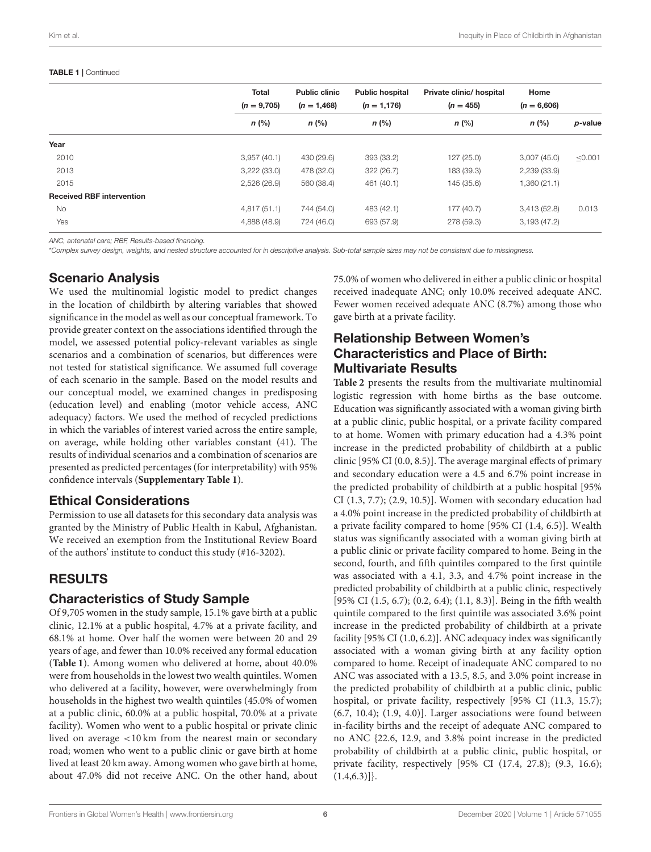#### TABLE 1 | Continued

|                                  | <b>Total</b><br>$(n = 9,705)$ | <b>Public clinic</b><br><b>Public hospital</b><br>$(n = 1,468)$<br>$(n = 1,176)$ |            | Private clinic/ hospital<br>$(n = 455)$ | Home<br>$(n = 6,606)$ |         |
|----------------------------------|-------------------------------|----------------------------------------------------------------------------------|------------|-----------------------------------------|-----------------------|---------|
|                                  | $n$ (%)                       | $n$ (%)                                                                          | $n$ (%)    | $n$ (%)                                 | $n$ (%)               | p-value |
| Year                             |                               |                                                                                  |            |                                         |                       |         |
| 2010                             | 3,957(40.1)                   | 430 (29.6)                                                                       | 393 (33.2) | 127 (25.0)                              | 3,007(45.0)           | < 0.001 |
| 2013                             | 3,222(33.0)                   | 478 (32.0)                                                                       | 322 (26.7) | 183 (39.3)                              | 2,239(33.9)           |         |
| 2015                             | 2,526(26.9)                   | 560 (38.4)                                                                       | 461 (40.1) | 145 (35.6)                              | 1,360 (21.1)          |         |
| <b>Received RBF intervention</b> |                               |                                                                                  |            |                                         |                       |         |
| No                               | 4,817(51.1)                   | 744 (54.0)                                                                       | 483 (42.1) | 177 (40.7)                              | 3,413(52.8)           | 0.013   |
| Yes                              | 4,888 (48.9)                  | 724 (46.0)                                                                       | 693 (57.9) | 278 (59.3)                              | 3,193(47.2)           |         |

*ANC, antenatal care; RBF, Results-based financing.*

\**Complex survey design, weights, and nested structure accounted for in descriptive analysis. Sub-total sample sizes may not be consistent due to missingness.*

# Scenario Analysis

We used the multinomial logistic model to predict changes in the location of childbirth by altering variables that showed significance in the model as well as our conceptual framework. To provide greater context on the associations identified through the model, we assessed potential policy-relevant variables as single scenarios and a combination of scenarios, but differences were not tested for statistical significance. We assumed full coverage of each scenario in the sample. Based on the model results and our conceptual model, we examined changes in predisposing (education level) and enabling (motor vehicle access, ANC adequacy) factors. We used the method of recycled predictions in which the variables of interest varied across the entire sample, on average, while holding other variables constant [\(41\)](#page-11-2). The results of individual scenarios and a combination of scenarios are presented as predicted percentages (for interpretability) with 95% confidence intervals (**[Supplementary Table 1](#page-9-0)**).

#### Ethical Considerations

Permission to use all datasets for this secondary data analysis was granted by the Ministry of Public Health in Kabul, Afghanistan. We received an exemption from the Institutional Review Board of the authors' institute to conduct this study (#16-3202).

# RESULTS

### Characteristics of Study Sample

Of 9,705 women in the study sample, 15.1% gave birth at a public clinic, 12.1% at a public hospital, 4.7% at a private facility, and 68.1% at home. Over half the women were between 20 and 29 years of age, and fewer than 10.0% received any formal education (**[Table 1](#page-4-0)**). Among women who delivered at home, about 40.0% were from households in the lowest two wealth quintiles. Women who delivered at a facility, however, were overwhelmingly from households in the highest two wealth quintiles (45.0% of women at a public clinic, 60.0% at a public hospital, 70.0% at a private facility). Women who went to a public hospital or private clinic lived on average <10 km from the nearest main or secondary road; women who went to a public clinic or gave birth at home lived at least 20 km away. Among women who gave birth at home, about 47.0% did not receive ANC. On the other hand, about 75.0% of women who delivered in either a public clinic or hospital received inadequate ANC; only 10.0% received adequate ANC. Fewer women received adequate ANC (8.7%) among those who gave birth at a private facility.

### Relationship Between Women's Characteristics and Place of Birth: Multivariate Results

**[Table 2](#page-6-0)** presents the results from the multivariate multinomial logistic regression with home births as the base outcome. Education was significantly associated with a woman giving birth at a public clinic, public hospital, or a private facility compared to at home. Women with primary education had a 4.3% point increase in the predicted probability of childbirth at a public clinic [95% CI (0.0, 8.5)]. The average marginal effects of primary and secondary education were a 4.5 and 6.7% point increase in the predicted probability of childbirth at a public hospital [95% CI (1.3, 7.7); (2.9, 10.5)]. Women with secondary education had a 4.0% point increase in the predicted probability of childbirth at a private facility compared to home [95% CI (1.4, 6.5)]. Wealth status was significantly associated with a woman giving birth at a public clinic or private facility compared to home. Being in the second, fourth, and fifth quintiles compared to the first quintile was associated with a 4.1, 3.3, and 4.7% point increase in the predicted probability of childbirth at a public clinic, respectively [95% CI (1.5, 6.7); (0.2, 6.4); (1.1, 8.3)]. Being in the fifth wealth quintile compared to the first quintile was associated 3.6% point increase in the predicted probability of childbirth at a private facility [95% CI (1.0, 6.2)]. ANC adequacy index was significantly associated with a woman giving birth at any facility option compared to home. Receipt of inadequate ANC compared to no ANC was associated with a 13.5, 8.5, and 3.0% point increase in the predicted probability of childbirth at a public clinic, public hospital, or private facility, respectively [95% CI (11.3, 15.7); (6.7, 10.4); (1.9, 4.0)]. Larger associations were found between in-facility births and the receipt of adequate ANC compared to no ANC {22.6, 12.9, and 3.8% point increase in the predicted probability of childbirth at a public clinic, public hospital, or private facility, respectively [95% CI (17.4, 27.8); (9.3, 16.6);  $(1.4, 6.3)]$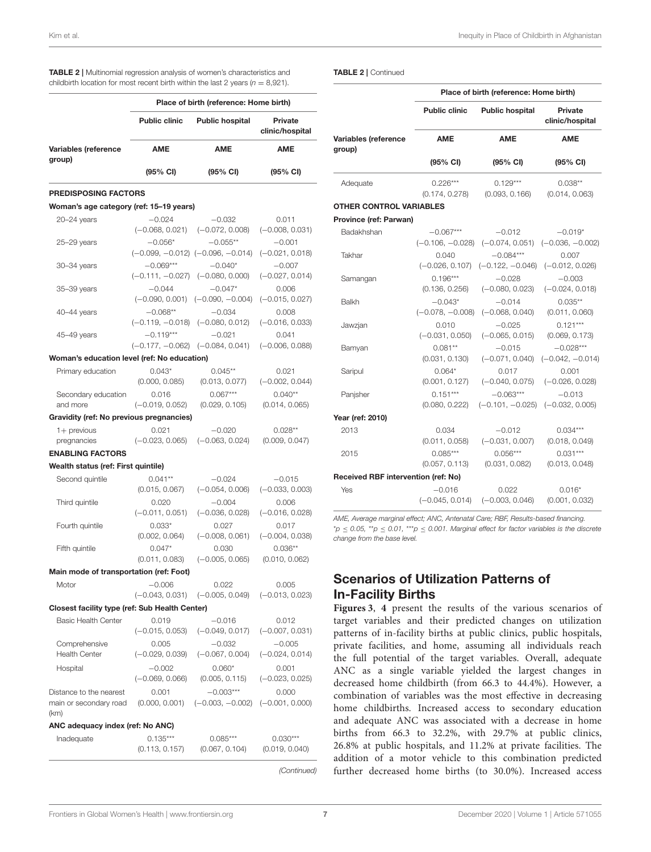<span id="page-6-0"></span>

| TABLE 2   Multinomial regression analysis of women's characteristics and           |  |
|------------------------------------------------------------------------------------|--|
| childbirth location for most recent birth within the last 2 years ( $n = 8,921$ ). |  |

|                                                |                                      | Place of birth (reference: Home birth) |                            |  |
|------------------------------------------------|--------------------------------------|----------------------------------------|----------------------------|--|
|                                                | <b>Public clinic</b>                 | <b>Public hospital</b>                 | Private<br>clinic/hospital |  |
| Variables (reference<br>group)                 | <b>AME</b>                           | <b>AME</b>                             | <b>AME</b>                 |  |
|                                                | (95% CI)                             | (95% CI)                               | (95% CI)                   |  |
| <b>PREDISPOSING FACTORS</b>                    |                                      |                                        |                            |  |
| Woman's age category (ref: 15-19 years)        |                                      |                                        |                            |  |
| $20 - 24$ years                                | $-0.024$                             | $-0.032$                               | 0.011                      |  |
|                                                |                                      | $(-0.068, 0.021)$ $(-0.072, 0.008)$    | $(-0.008, 0.031)$          |  |
| $25 - 29$ years                                | $-0.056*$                            | $-0.055**$                             | $-0.001$                   |  |
|                                                |                                      | $(-0.099, -0.012)$ $(-0.096, -0.014)$  | $(-0.021, 0.018)$          |  |
| 30-34 years                                    | $-0.069***$                          | $-0.040*$                              | $-0.007$                   |  |
|                                                | (-0.111, -0.027)                     | $(-0.080, 0.000)$                      | $(-0.027, 0.014)$          |  |
| 35-39 years                                    | $-0.044$                             | $-0.047*$                              | 0.006                      |  |
|                                                |                                      | $(-0.090, 0.001)$ $(-0.090, -0.004)$   | $(-0.015, 0.027)$          |  |
| 40-44 years                                    | $-0.068**$                           | $-0.034$                               | 0.008                      |  |
|                                                | $(-0.119, -0.018)$ $(-0.080, 0.012)$ |                                        | $(-0.016, 0.033)$          |  |
| 45-49 years                                    | $-0.119***$                          | $-0.021$                               | 0.041                      |  |
|                                                | $(-0.177, -0.062)$ $(-0.084, 0.041)$ |                                        | $(-0.006, 0.088)$          |  |
| Woman's education level (ref: No education)    |                                      |                                        |                            |  |
| Primary education                              | $0.043*$                             | $0.045**$                              | 0.021                      |  |
|                                                | (0.000, 0.085)                       | (0.013, 0.077)                         | $(-0.002, 0.044)$          |  |
| Secondary education                            | 0.016                                | $0.067***$                             | $0.040**$                  |  |
| and more                                       | $(-0.019, 0.052)$                    | (0.029, 0.105)                         | (0.014, 0.065)             |  |
| Gravidity (ref: No previous pregnancies)       |                                      |                                        |                            |  |
| $1+$ previous                                  | 0.021                                | $-0.020$                               | $0.028**$                  |  |
| pregnancies                                    | $(-0.023, 0.065)$                    | $(-0.063, 0.024)$                      | (0.009, 0.047)             |  |
| <b>ENABLING FACTORS</b>                        |                                      |                                        |                            |  |
| Wealth status (ref: First quintile)            |                                      |                                        |                            |  |
| Second quintile                                | $0.041**$                            | $-0.024$                               | $-0.015$                   |  |
|                                                | (0.015, 0.067)                       | $(-0.054, 0.006)$                      | $(-0.033, 0.003)$          |  |
| Third quintile                                 | 0.020                                | $-0.004$                               | 0.006                      |  |
|                                                | $(-0.011, 0.051)$                    | $(-0.036, 0.028)$                      | $(-0.016, 0.028)$          |  |
| Fourth quintile                                | $0.033*$                             | 0.027                                  | 0.017                      |  |
|                                                | (0.002, 0.064)                       | $(-0.008, 0.061)$                      | $(-0.004, 0.038)$          |  |
| Fifth quintile                                 | $0.047*$                             | 0.030                                  | $0.036**$                  |  |
|                                                | (0.011, 0.083)                       | $(-0.005, 0.065)$                      | (0.010, 0.062)             |  |
| Main mode of transportation (ref: Foot)        |                                      |                                        |                            |  |
|                                                |                                      |                                        |                            |  |
| Motor                                          | $-0.006$<br>$(-0.043, 0.031)$        | 0.022                                  | 0.005                      |  |
|                                                |                                      | $(-0.005, 0.049)$                      | $(-0.013, 0.023)$          |  |
| Closest facility type (ref: Sub Health Center) |                                      |                                        |                            |  |
| <b>Basic Health Center</b>                     | 0.019                                | -0.016                                 | 0.012                      |  |
|                                                | $(-0.015, 0.053)$                    | $(-0.049, 0.017)$                      | $(-0.007, 0.031)$          |  |
| Comprehensive                                  | 0.005                                | $-0.032$                               | $-0.005$                   |  |
| <b>Health Center</b>                           | $(-0.029, 0.039)$                    | $(-0.067, 0.004)$                      | $(-0.024, 0.014)$          |  |
| Hospital                                       | $-0.002$                             | $0.060*$                               | 0.001                      |  |

#### TABLE 2 | Continued

|                                                                 | Place of birth (reference: Home birth) |                              |                             |  |
|-----------------------------------------------------------------|----------------------------------------|------------------------------|-----------------------------|--|
|                                                                 | <b>Public clinic</b>                   | <b>Public hospital</b>       | Private<br>clinic/hospital  |  |
| Variables (reference<br>group)                                  | <b>AME</b><br><b>AME</b>               |                              | AME                         |  |
|                                                                 | (95% CI)                               | $(95% \text{ Cl})$           | $(95% \text{ Cl})$          |  |
| Adequate                                                        | $0.226***$<br>(0.174, 0.278)           | $0.129***$<br>(0.093, 0.166) | $0.038**$<br>(0.014, 0.063) |  |
| <b>OTHER CONTROL VARIABLES</b><br><b>Drovingo Irof: Donugn)</b> |                                        |                              |                             |  |

#### Province (ref: Parwan)

| Province (rei: Parwan)              |                    |                                      |                    |  |
|-------------------------------------|--------------------|--------------------------------------|--------------------|--|
| Badakhshan                          | $-0.067***$        | $-0.012$                             | $-0.019*$          |  |
|                                     | $(-0.106, -0.028)$ | $(-0.074, 0.051)$                    | $(-0.036, -0.002)$ |  |
| Takhar                              | 0.040              | $-0.084***$                          | 0.007              |  |
|                                     | $(-0.026, 0.107)$  | $(-0.122, -0.046)$                   | $(-0.012, 0.026)$  |  |
| Samangan                            | $0.196***$         | $-0.028$                             | $-0.003$           |  |
|                                     | (0.136, 0.256)     | $(-0.080, 0.023)$                    | $(-0.024, 0.018)$  |  |
| Balkh                               | $-0.043*$          | $-0.014$                             | $0.035**$          |  |
|                                     | $(-0.078, -0.008)$ | $(-0.068, 0.040)$                    | (0.011, 0.060)     |  |
| Jawzjan                             | 0.010              | $-0.025$                             | $0.121***$         |  |
|                                     | $(-0.031, 0.050)$  | $(-0.065, 0.015)$                    | (0.069, 0.173)     |  |
| Bamyan                              | $0.081**$          | $-0.015$                             | $-0.028***$        |  |
|                                     | (0.031, 0.130)     | $(-0.071, 0.040)$                    | $(-0.042, -0.014)$ |  |
| Saripul                             | $0.064*$           | 0.017                                | 0.001              |  |
|                                     | (0.001, 0.127)     | $(-0.040, 0.075)$                    | $(-0.026, 0.028)$  |  |
| Panjsher                            | $0.151***$         | $-0.063***$                          | $-0.013$           |  |
|                                     | (0.080, 0.222)     | $(-0.101, -0.025)$ $(-0.032, 0.005)$ |                    |  |
| Year (ref: 2010)                    |                    |                                      |                    |  |
| 2013                                | 0.034              | $-0.012$                             | $0.034***$         |  |
|                                     | (0.011, 0.058)     | $(-0.031, 0.007)$                    | (0.018, 0.049)     |  |
| 2015                                | $0.085***$         | $0.056***$                           | $0.031***$         |  |
|                                     | (0.057, 0.113)     | (0.031, 0.082)                       | (0.013, 0.048)     |  |
| Received RBF intervention (ref: No) |                    |                                      |                    |  |
| Yes                                 | $-0.016$           | 0.022                                | $0.016*$           |  |
|                                     | $(-0.045, 0.014)$  | $(-0.003, 0.046)$                    | (0.001, 0.032)     |  |

*AME, Average marginal effect; ANC, Antenatal Care; RBF, Results-based financing.* \**p* ≤ *0.05,* \*\**p* ≤ *0.01,* \*\*\**p* ≤ *0.001. Marginal effect for factor variables is the discrete change from the base level.*

#### Scenarios of Utilization Patterns of In-Facility Births

**[Figures 3](#page-7-0)**, **[4](#page-7-1)** present the results of the various scenarios of target variables and their predicted changes on utilization patterns of in-facility births at public clinics, public hospitals, private facilities, and home, assuming all individuals reach the full potential of the target variables. Overall, adequate ANC as a single variable yielded the largest changes in decreased home childbirth (from 66.3 to 44.4%). However, a combination of variables was the most effective in decreasing home childbirths. Increased access to secondary education and adequate ANC was associated with a decrease in home births from 66.3 to 32.2%, with 29.7% at public clinics, 26.8% at public hospitals, and 11.2% at private facilities. The addition of a motor vehicle to this combination predicted further decreased home births (to 30.0%). Increased access

(−0.069, 0.066)

0.001 (0.000, 0.001)

(0.113, 0.157)

Distance to the nearest main or secondary road

ANC adequacy index (ref: No ANC) Inadequate 0.135\*\*\*

(km)

(0.005, 0.115)

 $-0.003***$ (−0.003, −0.002)

> 0.085\*\*\* (0.067, 0.104)

(−0.023, 0.025)

0.000 (−0.001, 0.000)

0.030\*\*\* (0.019, 0.040)

*(Continued)*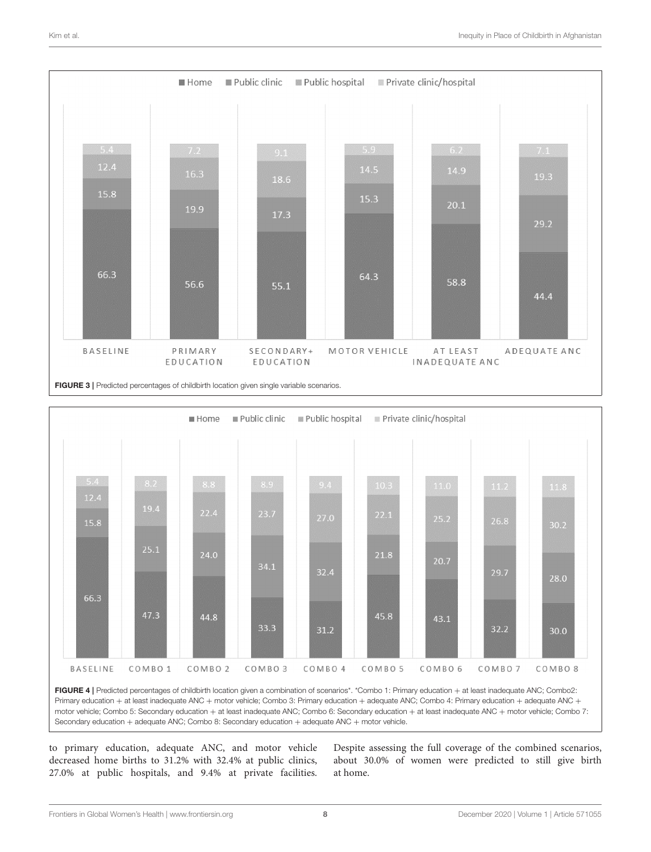

<span id="page-7-0"></span>

<span id="page-7-1"></span>FIGURE 4 | Predicted percentages of childbirth location given a combination of scenarios\*. \*Combo 1: Primary education + at least inadequate ANC; Combo2: Primary education + at least inadequate ANC + motor vehicle; Combo 3: Primary education + adequate ANC; Combo 4: Primary education + adequate ANC + motor vehicle; Combo 5: Secondary education + at least inadequate ANC; Combo 6: Secondary education + at least inadequate ANC + motor vehicle; Combo 7: Secondary education + adequate ANC; Combo 8: Secondary education + adequate ANC + motor vehicle.

to primary education, adequate ANC, and motor vehicle decreased home births to 31.2% with 32.4% at public clinics, 27.0% at public hospitals, and 9.4% at private facilities.

Despite assessing the full coverage of the combined scenarios, about 30.0% of women were predicted to still give birth at home.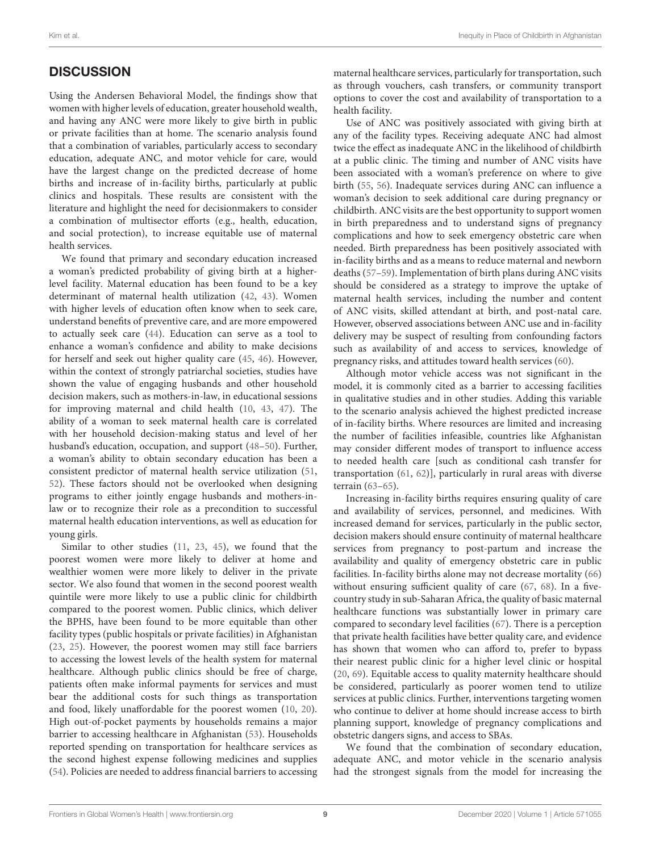# **DISCUSSION**

Using the Andersen Behavioral Model, the findings show that women with higher levels of education, greater household wealth, and having any ANC were more likely to give birth in public or private facilities than at home. The scenario analysis found that a combination of variables, particularly access to secondary education, adequate ANC, and motor vehicle for care, would have the largest change on the predicted decrease of home births and increase of in-facility births, particularly at public clinics and hospitals. These results are consistent with the literature and highlight the need for decisionmakers to consider a combination of multisector efforts (e.g., health, education, and social protection), to increase equitable use of maternal health services.

We found that primary and secondary education increased a woman's predicted probability of giving birth at a higherlevel facility. Maternal education has been found to be a key determinant of maternal health utilization [\(42,](#page-11-3) [43\)](#page-11-4). Women with higher levels of education often know when to seek care, understand benefits of preventive care, and are more empowered to actually seek care [\(44\)](#page-11-5). Education can serve as a tool to enhance a woman's confidence and ability to make decisions for herself and seek out higher quality care [\(45,](#page-11-6) [46\)](#page-11-7). However, within the context of strongly patriarchal societies, studies have shown the value of engaging husbands and other household decision makers, such as mothers-in-law, in educational sessions for improving maternal and child health [\(10,](#page-10-31) [43,](#page-11-4) [47\)](#page-11-8). The ability of a woman to seek maternal health care is correlated with her household decision-making status and level of her husband's education, occupation, and support [\(48](#page-11-9)[–50\)](#page-11-10). Further, a woman's ability to obtain secondary education has been a consistent predictor of maternal health service utilization [\(51,](#page-11-11) [52\)](#page-11-12). These factors should not be overlooked when designing programs to either jointly engage husbands and mothers-inlaw or to recognize their role as a precondition to successful maternal health education interventions, as well as education for young girls.

Similar to other studies [\(11,](#page-10-32) [23,](#page-10-15) [45\)](#page-11-6), we found that the poorest women were more likely to deliver at home and wealthier women were more likely to deliver in the private sector. We also found that women in the second poorest wealth quintile were more likely to use a public clinic for childbirth compared to the poorest women. Public clinics, which deliver the BPHS, have been found to be more equitable than other facility types (public hospitals or private facilities) in Afghanistan [\(23,](#page-10-15) [25\)](#page-10-17). However, the poorest women may still face barriers to accessing the lowest levels of the health system for maternal healthcare. Although public clinics should be free of charge, patients often make informal payments for services and must bear the additional costs for such things as transportation and food, likely unaffordable for the poorest women [\(10,](#page-10-31) [20\)](#page-10-33). High out-of-pocket payments by households remains a major barrier to accessing healthcare in Afghanistan [\(53\)](#page-11-13). Households reported spending on transportation for healthcare services as the second highest expense following medicines and supplies [\(54\)](#page-11-14). Policies are needed to address financial barriers to accessing maternal healthcare services, particularly for transportation, such as through vouchers, cash transfers, or community transport options to cover the cost and availability of transportation to a health facility.

Use of ANC was positively associated with giving birth at any of the facility types. Receiving adequate ANC had almost twice the effect as inadequate ANC in the likelihood of childbirth at a public clinic. The timing and number of ANC visits have been associated with a woman's preference on where to give birth [\(55,](#page-11-15) [56\)](#page-11-16). Inadequate services during ANC can influence a woman's decision to seek additional care during pregnancy or childbirth. ANC visits are the best opportunity to support women in birth preparedness and to understand signs of pregnancy complications and how to seek emergency obstetric care when needed. Birth preparedness has been positively associated with in-facility births and as a means to reduce maternal and newborn deaths [\(57–](#page-11-17)[59\)](#page-11-18). Implementation of birth plans during ANC visits should be considered as a strategy to improve the uptake of maternal health services, including the number and content of ANC visits, skilled attendant at birth, and post-natal care. However, observed associations between ANC use and in-facility delivery may be suspect of resulting from confounding factors such as availability of and access to services, knowledge of pregnancy risks, and attitudes toward health services [\(60\)](#page-11-19).

Although motor vehicle access was not significant in the model, it is commonly cited as a barrier to accessing facilities in qualitative studies and in other studies. Adding this variable to the scenario analysis achieved the highest predicted increase of in-facility births. Where resources are limited and increasing the number of facilities infeasible, countries like Afghanistan may consider different modes of transport to influence access to needed health care [such as conditional cash transfer for transportation [\(61,](#page-11-20) [62\)](#page-11-21)], particularly in rural areas with diverse terrain [\(63](#page-11-22)[–65\)](#page-11-23).

Increasing in-facility births requires ensuring quality of care and availability of services, personnel, and medicines. With increased demand for services, particularly in the public sector, decision makers should ensure continuity of maternal healthcare services from pregnancy to post-partum and increase the availability and quality of emergency obstetric care in public facilities. In-facility births alone may not decrease mortality [\(66\)](#page-11-24) without ensuring sufficient quality of care [\(67,](#page-11-25) [68\)](#page-11-26). In a fivecountry study in sub-Saharan Africa, the quality of basic maternal healthcare functions was substantially lower in primary care compared to secondary level facilities [\(67\)](#page-11-25). There is a perception that private health facilities have better quality care, and evidence has shown that women who can afford to, prefer to bypass their nearest public clinic for a higher level clinic or hospital [\(20,](#page-10-33) [69\)](#page-11-27). Equitable access to quality maternity healthcare should be considered, particularly as poorer women tend to utilize services at public clinics. Further, interventions targeting women who continue to deliver at home should increase access to birth planning support, knowledge of pregnancy complications and obstetric dangers signs, and access to SBAs.

We found that the combination of secondary education, adequate ANC, and motor vehicle in the scenario analysis had the strongest signals from the model for increasing the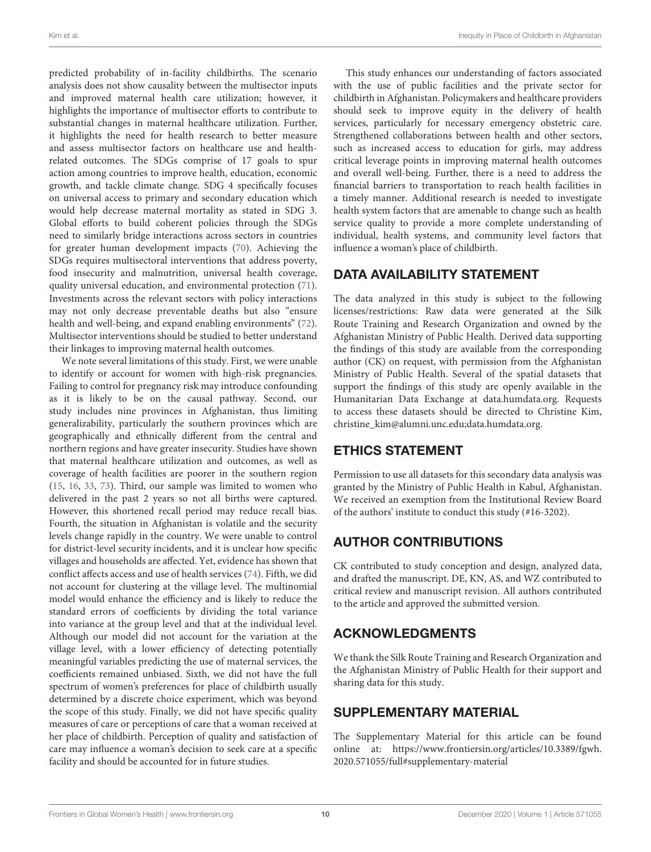predicted probability of in-facility childbirths. The scenario analysis does not show causality between the multisector inputs and improved maternal health care utilization; however, it highlights the importance of multisector efforts to contribute to substantial changes in maternal healthcare utilization. Further, it highlights the need for health research to better measure and assess multisector factors on healthcare use and healthrelated outcomes. The SDGs comprise of 17 goals to spur action among countries to improve health, education, economic growth, and tackle climate change. SDG 4 specifically focuses on universal access to primary and secondary education which would help decrease maternal mortality as stated in SDG 3. Global efforts to build coherent policies through the SDGs need to similarly bridge interactions across sectors in countries for greater human development impacts [\(70\)](#page-11-28). Achieving the SDGs requires multisectoral interventions that address poverty, food insecurity and malnutrition, universal health coverage, quality universal education, and environmental protection [\(71\)](#page-11-29). Investments across the relevant sectors with policy interactions may not only decrease preventable deaths but also "ensure health and well-being, and expand enabling environments" [\(72\)](#page-11-30). Multisector interventions should be studied to better understand their linkages to improving maternal health outcomes.

We note several limitations of this study. First, we were unable to identify or account for women with high-risk pregnancies. Failing to control for pregnancy risk may introduce confounding as it is likely to be on the causal pathway. Second, our study includes nine provinces in Afghanistan, thus limiting generalizability, particularly the southern provinces which are geographically and ethnically different from the central and northern regions and have greater insecurity. Studies have shown that maternal healthcare utilization and outcomes, as well as coverage of health facilities are poorer in the southern region [\(15,](#page-10-10) [16,](#page-10-11) [33,](#page-10-25) [73\)](#page-11-31). Third, our sample was limited to women who delivered in the past 2 years so not all births were captured. However, this shortened recall period may reduce recall bias. Fourth, the situation in Afghanistan is volatile and the security levels change rapidly in the country. We were unable to control for district-level security incidents, and it is unclear how specific villages and households are affected. Yet, evidence has shown that conflict affects access and use of health services [\(74\)](#page-11-32). Fifth, we did not account for clustering at the village level. The multinomial model would enhance the efficiency and is likely to reduce the standard errors of coefficients by dividing the total variance into variance at the group level and that at the individual level. Although our model did not account for the variation at the village level, with a lower efficiency of detecting potentially meaningful variables predicting the use of maternal services, the coefficients remained unbiased. Sixth, we did not have the full spectrum of women's preferences for place of childbirth usually determined by a discrete choice experiment, which was beyond the scope of this study. Finally, we did not have specific quality measures of care or perceptions of care that a woman received at her place of childbirth. Perception of quality and satisfaction of care may influence a woman's decision to seek care at a specific facility and should be accounted for in future studies.

This study enhances our understanding of factors associated with the use of public facilities and the private sector for childbirth in Afghanistan. Policymakers and healthcare providers should seek to improve equity in the delivery of health services, particularly for necessary emergency obstetric care. Strengthened collaborations between health and other sectors, such as increased access to education for girls, may address critical leverage points in improving maternal health outcomes and overall well-being. Further, there is a need to address the financial barriers to transportation to reach health facilities in a timely manner. Additional research is needed to investigate health system factors that are amenable to change such as health service quality to provide a more complete understanding of individual, health systems, and community level factors that influence a woman's place of childbirth.

### DATA AVAILABILITY STATEMENT

The data analyzed in this study is subject to the following licenses/restrictions: Raw data were generated at the Silk Route Training and Research Organization and owned by the Afghanistan Ministry of Public Health. Derived data supporting the findings of this study are available from the corresponding author (CK) on request, with permission from the Afghanistan Ministry of Public Health. Several of the spatial datasets that support the findings of this study are openly available in the Humanitarian Data Exchange at [data.humdata.org.](https://data.humdata.org) Requests to access these datasets should be directed to Christine Kim, [christine\\_kim@alumni.unc.edu;](https://christine_kim@alumni.unc.edu)[data.humdata.org.](https://data.humdata.org)

### ETHICS STATEMENT

Permission to use all datasets for this secondary data analysis was granted by the Ministry of Public Health in Kabul, Afghanistan. We received an exemption from the Institutional Review Board of the authors' institute to conduct this study (#16-3202).

# AUTHOR CONTRIBUTIONS

CK contributed to study conception and design, analyzed data, and drafted the manuscript. DE, KN, AS, and WZ contributed to critical review and manuscript revision. All authors contributed to the article and approved the submitted version.

# ACKNOWLEDGMENTS

We thank the Silk Route Training and Research Organization and the Afghanistan Ministry of Public Health for their support and sharing data for this study.

# SUPPLEMENTARY MATERIAL

<span id="page-9-0"></span>The Supplementary Material for this article can be found [online at: https://www.frontiersin.org/articles/10.3389/fgwh.](https://www.frontiersin.org/articles/10.3389/fgwh.2020.571055/full#supplementary-material) 2020.571055/full#supplementary-material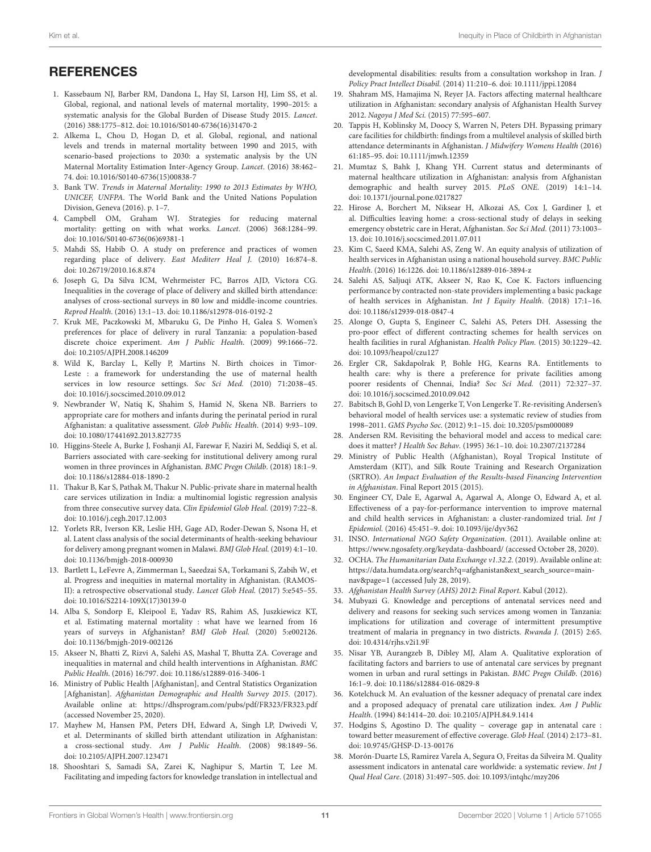### **REFERENCES**

- <span id="page-10-0"></span>1. Kassebaum NJ, Barber RM, Dandona L, Hay SI, Larson HJ, Lim SS, et al. Global, regional, and national levels of maternal mortality, 1990–2015: a systematic analysis for the Global Burden of Disease Study 2015. Lancet. (2016) 388:1775–812. doi: [10.1016/S0140-6736\(16\)31470-2](https://doi.org/10.1016/S0140-6736(16)31470-2)
- <span id="page-10-1"></span>2. Alkema L, Chou D, Hogan D, et al. Global, regional, and national levels and trends in maternal mortality between 1990 and 2015, with scenario-based projections to 2030: a systematic analysis by the UN Maternal Mortality Estimation Inter-Agency Group. Lancet. (2016) 38:462– 74. doi: [10.1016/S0140-6736\(15\)00838-7](https://doi.org/10.1016/S0140-6736(15)00838-7)
- <span id="page-10-2"></span>Bank TW. Trends in Maternal Mortality: 1990 to 2013 Estimates by WHO, UNICEF, UNFPA. The World Bank and the United Nations Population Division, Geneva (2016). p. 1–7.
- <span id="page-10-3"></span>4. Campbell OM, Graham WJ. Strategies for reducing maternal mortality: getting on with what works. Lancet. (2006) 368:1284–99. doi: [10.1016/S0140-6736\(06\)69381-1](https://doi.org/10.1016/S0140-6736(06)69381-1)
- <span id="page-10-4"></span>5. Mahdi SS, Habib O. A study on preference and practices of women regarding place of delivery. East Mediterr Heal J. (2010) 16:874–8. doi: [10.26719/2010.16.8.874](https://doi.org/10.26719/2010.16.8.874)
- <span id="page-10-5"></span>6. Joseph G, Da Silva ICM, Wehrmeister FC, Barros AJD, Victora CG. Inequalities in the coverage of place of delivery and skilled birth attendance: analyses of cross-sectional surveys in 80 low and middle-income countries. Reprod Health. (2016) 13:1–13. doi: [10.1186/s12978-016-0192-2](https://doi.org/10.1186/s12978-016-0192-2)
- <span id="page-10-6"></span>7. Kruk ME, Paczkowski M, Mbaruku G, De Pinho H, Galea S. Women's preferences for place of delivery in rural Tanzania: a population-based discrete choice experiment. Am J Public Health. (2009) 99:1666–72. doi: [10.2105/AJPH.2008.146209](https://doi.org/10.2105/AJPH.2008.146209)
- 8. Wild K, Barclay L, Kelly P, Martins N. Birth choices in Timor-Leste : a framework for understanding the use of maternal health services in low resource settings. Soc Sci Med. (2010) 71:2038–45. doi: [10.1016/j.socscimed.2010.09.012](https://doi.org/10.1016/j.socscimed.2010.09.012)
- 9. Newbrander W, Natiq K, Shahim S, Hamid N, Skena NB. Barriers to appropriate care for mothers and infants during the perinatal period in rural Afghanistan: a qualitative assessment. Glob Public Health. (2014) 9:93–109. doi: [10.1080/17441692.2013.827735](https://doi.org/10.1080/17441692.2013.827735)
- <span id="page-10-31"></span>10. Higgins-Steele A, Burke J, Foshanji AI, Farewar F, Naziri M, Seddiqi S, et al. Barriers associated with care-seeking for institutional delivery among rural women in three provinces in Afghanistan. BMC Pregn Childb. (2018) 18:1–9. doi: [10.1186/s12884-018-1890-2](https://doi.org/10.1186/s12884-018-1890-2)
- <span id="page-10-32"></span>11. Thakur B, Kar S, Pathak M, Thakur N. Public-private share in maternal health care services utilization in India: a multinomial logistic regression analysis from three consecutive survey data. Clin Epidemiol Glob Heal. (2019) 7:22–8. doi: [10.1016/j.cegh.2017.12.003](https://doi.org/10.1016/j.cegh.2017.12.003)
- <span id="page-10-7"></span>12. Yorlets RR, Iverson KR, Leslie HH, Gage AD, Roder-Dewan S, Nsona H, et al. Latent class analysis of the social determinants of health-seeking behaviour for delivery among pregnant women in Malawi. BMJ Glob Heal. (2019) 4:1–10. doi: [10.1136/bmjgh-2018-000930](https://doi.org/10.1136/bmjgh-2018-000930)
- <span id="page-10-8"></span>13. Bartlett L, LeFevre A, Zimmerman L, Saeedzai SA, Torkamani S, Zabih W, et al. Progress and inequities in maternal mortality in Afghanistan. (RAMOS-II): a retrospective observational study. Lancet Glob Heal. (2017) 5:e545–55. doi: [10.1016/S2214-109X\(17\)30139-0](https://doi.org/10.1016/S2214-109X(17)30139-0)
- <span id="page-10-9"></span>14. Alba S, Sondorp E, Kleipool E, Yadav RS, Rahim AS, Juszkiewicz KT, et al. Estimating maternal mortality : what have we learned from 16 years of surveys in Afghanistan? BMJ Glob Heal. (2020) 5:e002126. doi: [10.1136/bmjgh-2019-002126](https://doi.org/10.1136/bmjgh-2019-002126)
- <span id="page-10-10"></span>15. Akseer N, Bhatti Z, Rizvi A, Salehi AS, Mashal T, Bhutta ZA. Coverage and inequalities in maternal and child health interventions in Afghanistan. BMC Public Health. (2016) 16:797. doi: [10.1186/s12889-016-3406-1](https://doi.org/10.1186/s12889-016-3406-1)
- <span id="page-10-11"></span>16. Ministry of Public Health [Afghanistan], and Central Statistics Organization [Afghanistan]. Afghanistan Demographic and Health Survey 2015. (2017). Available online at:<https://dhsprogram.com/pubs/pdf/FR323/FR323.pdf> (accessed November 25, 2020).
- <span id="page-10-12"></span>17. Mayhew M, Hansen PM, Peters DH, Edward A, Singh LP, Dwivedi V, et al. Determinants of skilled birth attendant utilization in Afghanistan: a cross-sectional study. Am J Public Health. (2008) 98:1849–56. doi: [10.2105/AJPH.2007.123471](https://doi.org/10.2105/AJPH.2007.123471)
- 18. Shooshtari S, Samadi SA, Zarei K, Naghipur S, Martin T, Lee M. Facilitating and impeding factors for knowledge translation in intellectual and

developmental disabilities: results from a consultation workshop in Iran. J Policy Pract Intellect Disabil. (2014) 11:210–6. doi: [10.1111/jppi.12084](https://doi.org/10.1111/jppi.12084)

- 19. Shahram MS, Hamajima N, Reyer JA. Factors affecting maternal healthcare utilization in Afghanistan: secondary analysis of Afghanistan Health Survey 2012. Nagoya J Med Sci. (2015) 77:595–607.
- <span id="page-10-33"></span>20. Tappis H, Koblinsky M, Doocy S, Warren N, Peters DH. Bypassing primary care facilities for childbirth: findings from a multilevel analysis of skilled birth attendance determinants in Afghanistan. J Midwifery Womens Health (2016) 61:185–95. doi: [10.1111/jmwh.12359](https://doi.org/10.1111/jmwh.12359)
- <span id="page-10-13"></span>21. Mumtaz S, Bahk J, Khang YH. Current status and determinants of maternal healthcare utilization in Afghanistan: analysis from Afghanistan demographic and health survey 2015. PLoS ONE. (2019) 14:1–14. doi: [10.1371/journal.pone.0217827](https://doi.org/10.1371/journal.pone.0217827)
- <span id="page-10-14"></span>22. Hirose A, Borchert M, Niksear H, Alkozai AS, Cox J, Gardiner J, et al. Difficulties leaving home: a cross-sectional study of delays in seeking emergency obstetric care in Herat, Afghanistan. Soc Sci Med. (2011) 73:1003– 13. doi: [10.1016/j.socscimed.2011.07.011](https://doi.org/10.1016/j.socscimed.2011.07.011)
- <span id="page-10-15"></span>23. Kim C, Saeed KMA, Salehi AS, Zeng W. An equity analysis of utilization of health services in Afghanistan using a national household survey. BMC Public Health. (2016) 16:1226. doi: [10.1186/s12889-016-3894-z](https://doi.org/10.1186/s12889-016-3894-z)
- <span id="page-10-16"></span>24. Salehi AS, Saljuqi ATK, Akseer N, Rao K, Coe K. Factors influencing performance by contracted non-state providers implementing a basic package of health services in Afghanistan. Int J Equity Health. (2018) 17:1–16. doi: [10.1186/s12939-018-0847-4](https://doi.org/10.1186/s12939-018-0847-4)
- <span id="page-10-17"></span>25. Alonge O, Gupta S, Engineer C, Salehi AS, Peters DH. Assessing the pro-poor effect of different contracting schemes for health services on health facilities in rural Afghanistan. Health Policy Plan. (2015) 30:1229–42. doi: [10.1093/heapol/czu127](https://doi.org/10.1093/heapol/czu127)
- <span id="page-10-18"></span>26. Ergler CR, Sakdapolrak P, Bohle HG, Kearns RA. Entitlements to health care: why is there a preference for private facilities among poorer residents of Chennai, India? Soc Sci Med. (2011) 72:327–37. doi: [10.1016/j.socscimed.2010.09.042](https://doi.org/10.1016/j.socscimed.2010.09.042)
- <span id="page-10-19"></span>27. Babitsch B, Gohl D, von Lengerke T, Von Lengerke T. Re-revisiting Andersen's behavioral model of health services use: a systematic review of studies from 1998–2011. GMS Psycho Soc. (2012) 9:1–15. doi: [10.3205/psm000089](https://doi.org/10.3205/psm000089)
- <span id="page-10-20"></span>28. Andersen RM. Revisiting the behavioral model and access to medical care: does it matter? J Health Soc Behav. (1995) 36:1–10. doi: [10.2307/2137284](https://doi.org/10.2307/2137284)
- <span id="page-10-21"></span>29. Ministry of Public Health (Afghanistan), Royal Tropical Institute of Amsterdam (KIT), and Silk Route Training and Research Organization (SRTRO). An Impact Evaluation of the Results-based Financing Intervention in Afghanistan. Final Report 2015 (2015).
- <span id="page-10-22"></span>30. Engineer CY, Dale E, Agarwal A, Agarwal A, Alonge O, Edward A, et al. Effectiveness of a pay-for-performance intervention to improve maternal and child health services in Afghanistan: a cluster-randomized trial. Int J Epidemiol. (2016) 45:451–9. doi: [10.1093/ije/dyv362](https://doi.org/10.1093/ije/dyv362)
- <span id="page-10-23"></span>31. INSO. International NGO Safety Organization. (2011). Available online at: <https://www.ngosafety.org/keydata-dashboard/> (accessed October 28, 2020).
- <span id="page-10-24"></span>32. OCHA. The Humanitarian Data Exchange v1.32.2. (2019). Available online at: [https://data.humdata.org/search?q=afghanistan&ext\\_search\\_source=main](https://data.humdata.org/search?q=afghanistan&ext_search_source=main-nav&page=1)[nav&page=1](https://data.humdata.org/search?q=afghanistan&ext_search_source=main-nav&page=1) (accessed July 28, 2019).
- <span id="page-10-25"></span>33. Afghanistan Health Survey (AHS) 2012: Final Report. Kabul (2012).
- <span id="page-10-26"></span>34. Mubyazi G. Knowledge and perceptions of antenatal services need and delivery and reasons for seeking such services among women in Tanzania: implications for utilization and coverage of intermittent presumptive treatment of malaria in pregnancy in two districts. Rwanda J. (2015) 2:65. doi: [10.4314/rjhs.v2i1.9F](https://doi.org/10.4314/rjhs.v2i1.9F)
- <span id="page-10-27"></span>35. Nisar YB, Aurangzeb B, Dibley MJ, Alam A. Qualitative exploration of facilitating factors and barriers to use of antenatal care services by pregnant women in urban and rural settings in Pakistan. BMC Pregn Childb. (2016) 16:1–9. doi: [10.1186/s12884-016-0829-8](https://doi.org/10.1186/s12884-016-0829-8)
- <span id="page-10-28"></span>36. Kotelchuck M. An evaluation of the kessner adequacy of prenatal care index and a proposed adequacy of prenatal care utilization index. Am J Public Health. (1994) 84:1414–20. doi: [10.2105/AJPH.84.9.1414](https://doi.org/10.2105/AJPH.84.9.1414)
- <span id="page-10-29"></span>37. Hodgins S, Agostino D. The quality – coverage gap in antenatal care : toward better measurement of effective coverage. Glob Heal. (2014) 2:173–81. doi: [10.9745/GHSP-D-13-00176](https://doi.org/10.9745/GHSP-D-13-00176)
- <span id="page-10-30"></span>38. Morón-Duarte LS, Ramirez Varela A, Segura O, Freitas da Silveira M. Quality assessment indicators in antenatal care worldwide: a systematic review. Int J Qual Heal Care. (2018) 31:497–505. doi: [10.1093/intqhc/mzy206](https://doi.org/10.1093/intqhc/mzy206)